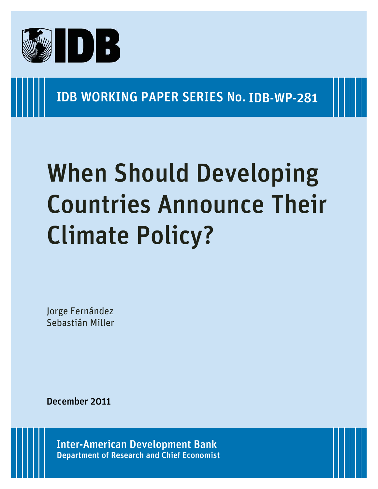

### IDB WORKING PAPER SERIES No. IDB-WP-281

# When Should Developing Countries Announce Their Climate Policy?

Jorge Fernández Sebastián Miller

December 2011

Department of Research and Chief Economist Inter-American Development Bank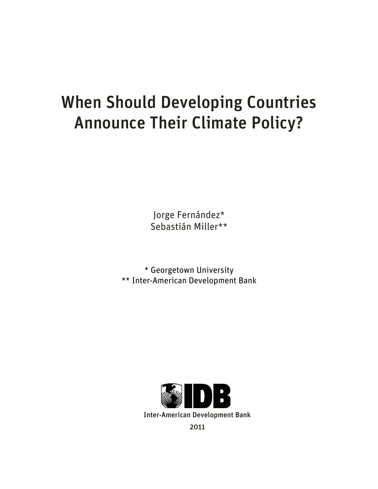## When Should Developing Countries Announce Their Climate Policy?

Jorge Fernández\* Sebastián Miller\*\*

\* Georgetown University \*\* Inter-American Development Bank

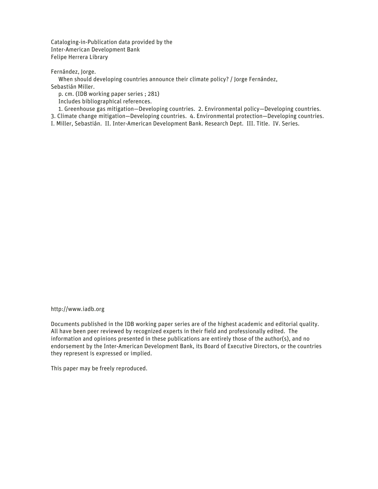Cataloging-in-Publication data provided by the Inter-American Development Bank Felipe Herrera Library

Fernández, Jorge.

When should developing countries announce their climate policy? / Jorge Fernández,

Sebastián Miller.

p. cm. (IDB working paper series ; 281)

Includes bibliographical references.

1. Greenhouse gas mitigation—Developing countries. 2. Environmental policy—Developing countries.

3. Climate change mitigation—Developing countries. 4. Environmental protection—Developing countries.

I. Miller, Sebastián. II. Inter-American Development Bank. Research Dept. III. Title. IV. Series.

http://www.iadb.org

Documents published in the IDB working paper series are of the highest academic and editorial quality. All have been peer reviewed by recognized experts in their field and professionally edited. The information and opinions presented in these publications are entirely those of the author(s), and no endorsement by the Inter-American Development Bank, its Board of Executive Directors, or the countries they represent is expressed or implied.

This paper may be freely reproduced.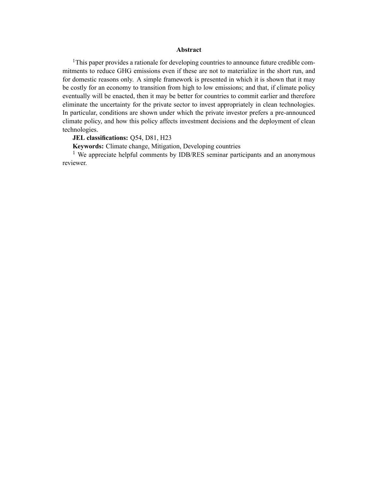#### Abstract

<sup>1</sup>This paper provides a rationale for developing countries to announce future credible commitments to reduce GHG emissions even if these are not to materialize in the short run, and for domestic reasons only. A simple framework is presented in which it is shown that it may be costly for an economy to transition from high to low emissions; and that, if climate policy eventually will be enacted, then it may be better for countries to commit earlier and therefore eliminate the uncertainty for the private sector to invest appropriately in clean technologies. In particular, conditions are shown under which the private investor prefers a pre-announced climate policy, and how this policy affects investment decisions and the deployment of clean technologies.

#### JEL classifications: Q54, D81, H23

Keywords: Climate change, Mitigation, Developing countries

<sup>1</sup> We appreciate helpful comments by IDB/RES seminar participants and an anonymous reviewer.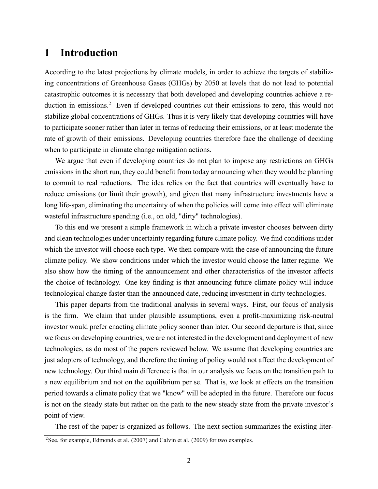#### 1 Introduction

According to the latest projections by climate models, in order to achieve the targets of stabilizing concentrations of Greenhouse Gases (GHGs) by 2050 at levels that do not lead to potential catastrophic outcomes it is necessary that both developed and developing countries achieve a reduction in emissions.<sup>2</sup> Even if developed countries cut their emissions to zero, this would not stabilize global concentrations of GHGs. Thus it is very likely that developing countries will have to participate sooner rather than later in terms of reducing their emissions, or at least moderate the rate of growth of their emissions. Developing countries therefore face the challenge of deciding when to participate in climate change mitigation actions.

We argue that even if developing countries do not plan to impose any restrictions on GHGs emissions in the short run, they could benefit from today announcing when they would be planning to commit to real reductions. The idea relies on the fact that countries will eventually have to reduce emissions (or limit their growth), and given that many infrastructure investments have a long life-span, eliminating the uncertainty of when the policies will come into effect will eliminate wasteful infrastructure spending (i.e., on old, "dirty" technologies).

To this end we present a simple framework in which a private investor chooses between dirty and clean technologies under uncertainty regarding future climate policy. We find conditions under which the investor will choose each type. We then compare with the case of announcing the future climate policy. We show conditions under which the investor would choose the latter regime. We also show how the timing of the announcement and other characteristics of the investor affects the choice of technology. One key finding is that announcing future climate policy will induce technological change faster than the announced date, reducing investment in dirty technologies.

This paper departs from the traditional analysis in several ways. First, our focus of analysis is the firm. We claim that under plausible assumptions, even a profit-maximizing risk-neutral investor would prefer enacting climate policy sooner than later. Our second departure is that, since we focus on developing countries, we are not interested in the development and deployment of new technologies, as do most of the papers reviewed below. We assume that developing countries are just adopters of technology, and therefore the timing of policy would not affect the development of new technology. Our third main difference is that in our analysis we focus on the transition path to a new equilibrium and not on the equilibrium per se. That is, we look at effects on the transition period towards a climate policy that we "know" will be adopted in the future. Therefore our focus is not on the steady state but rather on the path to the new steady state from the private investor's point of view.

The rest of the paper is organized as follows. The next section summarizes the existing liter- $2$ See, for example, Edmonds et al. (2007) and Calvin et al. (2009) for two examples.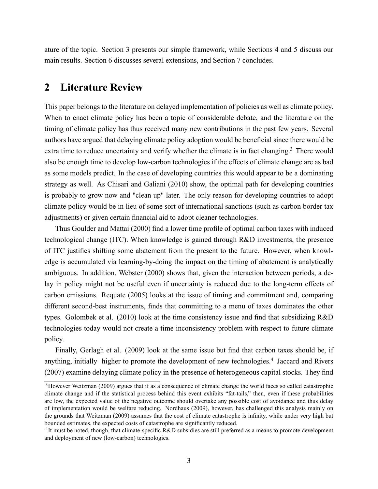ature of the topic. Section 3 presents our simple framework, while Sections 4 and 5 discuss our main results. Section 6 discusses several extensions, and Section 7 concludes.

#### 2 Literature Review

This paper belongs to the literature on delayed implementation of policies as well as climate policy. When to enact climate policy has been a topic of considerable debate, and the literature on the timing of climate policy has thus received many new contributions in the past few years. Several authors have argued that delaying climate policy adoption would be beneficial since there would be extra time to reduce uncertainty and verify whether the climate is in fact changing.<sup>3</sup> There would also be enough time to develop low-carbon technologies if the effects of climate change are as bad as some models predict. In the case of developing countries this would appear to be a dominating strategy as well. As Chisari and Galiani (2010) show, the optimal path for developing countries is probably to grow now and "clean up" later. The only reason for developing countries to adopt climate policy would be in lieu of some sort of international sanctions (such as carbon border tax adjustments) or given certain financial aid to adopt cleaner technologies.

Thus Goulder and Mattai (2000) find a lower time profile of optimal carbon taxes with induced technological change (ITC). When knowledge is gained through R&D investments, the presence of ITC justifies shifting some abatement from the present to the future. However, when knowledge is accumulated via learning-by-doing the impact on the timing of abatement is analytically ambiguous. In addition, Webster (2000) shows that, given the interaction between periods, a delay in policy might not be useful even if uncertainty is reduced due to the long-term effects of carbon emissions. Requate (2005) looks at the issue of timing and commitment and, comparing different second-best instruments, finds that committing to a menu of taxes dominates the other types. Golombek et al.  $(2010)$  look at the time consistency issue and find that subsidizing R&D technologies today would not create a time inconsistency problem with respect to future climate policy.

Finally, Gerlagh et al. (2009) look at the same issue but find that carbon taxes should be, if anything, initially higher to promote the development of new technologies.<sup>4</sup> Jaccard and Rivers (2007) examine delaying climate policy in the presence of heterogeneous capital stocks. They find

<sup>&</sup>lt;sup>3</sup>However Weitzman (2009) argues that if as a consequence of climate change the world faces so called catastrophic climate change and if the statistical process behind this event exhibits "fat-tails," then, even if these probabilities are low, the expected value of the negative outcome should overtake any possible cost of avoidance and thus delay of implementation would be welfare reducing. Nordhaus (2009), however, has challenged this analysis mainly on the grounds that Weitzman (2009) assumes that the cost of climate catastrophe is infinity, while under very high but bounded estimates, the expected costs of catastrophe are significantly reduced.

<sup>&</sup>lt;sup>4</sup>It must be noted, though, that climate-specific R&D subsidies are still preferred as a means to promote development and deployment of new (low-carbon) technologies.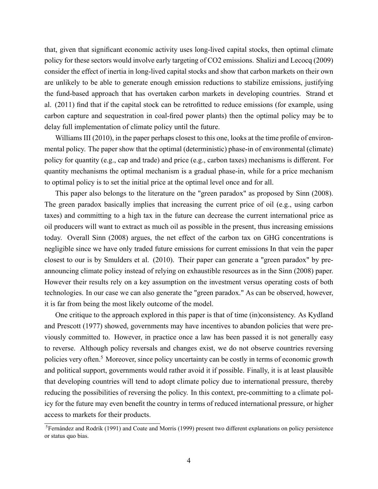that, given that significant economic activity uses long-lived capital stocks, then optimal climate policy for these sectors would involve early targeting of CO2 emissions. Shalizi and Lecocq (2009) consider the effect of inertia in long-lived capital stocks and show that carbon markets on their own are unlikely to be able to generate enough emission reductions to stabilize emissions, justifying the fund-based approach that has overtaken carbon markets in developing countries. Strand et al. (2011) find that if the capital stock can be retrofitted to reduce emissions (for example, using carbon capture and sequestration in coal-fired power plants) then the optimal policy may be to delay full implementation of climate policy until the future.

Williams III (2010), in the paper perhaps closest to this one, looks at the time profile of environmental policy. The paper show that the optimal (deterministic) phase-in of environmental (climate) policy for quantity (e.g., cap and trade) and price (e.g., carbon taxes) mechanisms is different. For quantity mechanisms the optimal mechanism is a gradual phase-in, while for a price mechanism to optimal policy is to set the initial price at the optimal level once and for all.

This paper also belongs to the literature on the "green paradox" as proposed by Sinn (2008). The green paradox basically implies that increasing the current price of oil (e.g., using carbon taxes) and committing to a high tax in the future can decrease the current international price as oil producers will want to extract as much oil as possible in the present, thus increasing emissions today. Overall Sinn (2008) argues, the net effect of the carbon tax on GHG concentrations is negligible since we have only traded future emissions for current emissions In that vein the paper closest to our is by Smulders et al. (2010). Their paper can generate a "green paradox" by preannouncing climate policy instead of relying on exhaustible resources as in the Sinn (2008) paper. However their results rely on a key assumption on the investment versus operating costs of both technologies. In our case we can also generate the "green paradox." As can be observed, however, it is far from being the most likely outcome of the model.

One critique to the approach explored in this paper is that of time (in)consistency. As Kydland and Prescott (1977) showed, governments may have incentives to abandon policies that were previously committed to. However, in practice once a law has been passed it is not generally easy to reverse. Although policy reversals and changes exist, we do not observe countries reversing policies very often.<sup>5</sup> Moreover, since policy uncertainty can be costly in terms of economic growth and political support, governments would rather avoid it if possible. Finally, it is at least plausible that developing countries will tend to adopt climate policy due to international pressure, thereby reducing the possibilities of reversing the policy. In this context, pre-committing to a climate policy for the future may even benefit the country in terms of reduced international pressure, or higher access to markets for their products.

<sup>&</sup>lt;sup>5</sup>Fernández and Rodrik (1991) and Coate and Morris (1999) present two different explanations on policy persistence or status quo bias.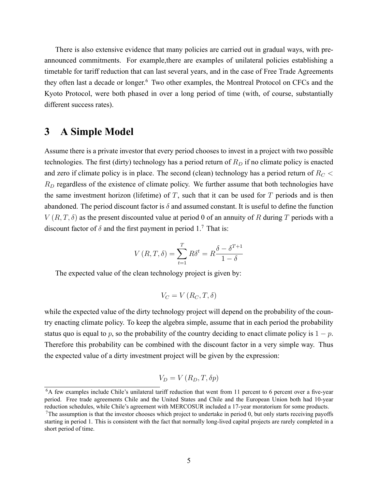There is also extensive evidence that many policies are carried out in gradual ways, with preannounced commitments. For example,there are examples of unilateral policies establishing a timetable for tariff reduction that can last several years, and in the case of Free Trade Agreements they often last a decade or longer.<sup>6</sup> Two other examples, the Montreal Protocol on CFCs and the Kyoto Protocol, were both phased in over a long period of time (with, of course, substantially different success rates).

#### 3 A Simple Model

Assume there is a private investor that every period chooses to invest in a project with two possible technologies. The first (dirty) technology has a period return of  $R_D$  if no climate policy is enacted and zero if climate policy is in place. The second (clean) technology has a period return of  $R_C$  <  $R_D$  regardless of the existence of climate policy. We further assume that both technologies have the same investment horizon (lifetime) of  $T$ , such that it can be used for  $T$  periods and is then abandoned. The period discount factor is  $\delta$  and assumed constant. It is useful to define the function  $V(R, T, \delta)$  as the present discounted value at period 0 of an annuity of R during T periods with a discount factor of  $\delta$  and the first payment in period 1.<sup>7</sup> That is:

$$
V(R, T, \delta) = \sum_{t=1}^{T} R\delta^t = R\frac{\delta - \delta^{T+1}}{1 - \delta}
$$

The expected value of the clean technology project is given by:

$$
V_C = V(R_C, T, \delta)
$$

while the expected value of the dirty technology project will depend on the probability of the country enacting climate policy. To keep the algebra simple, assume that in each period the probability status quo is equal to p, so the probability of the country deciding to enact climate policy is  $1 - p$ . Therefore this probability can be combined with the discount factor in a very simple way. Thus the expected value of a dirty investment project will be given by the expression:

$$
V_D = V(R_D, T, \delta p)
$$

 ${}^{6}A$  few examples include Chile's unilateral tariff reduction that went from 11 percent to 6 percent over a five-year period. Free trade agreements Chile and the United States and Chile and the European Union both had 10-year reduction schedules, while Chile's agreement with MERCOSUR included a 17-year moratorium for some products.

 $7$ The assumption is that the investor chooses which project to undertake in period 0, but only starts receiving payoffs starting in period 1. This is consistent with the fact that normally long-lived capital projects are rarely completed in a short period of time.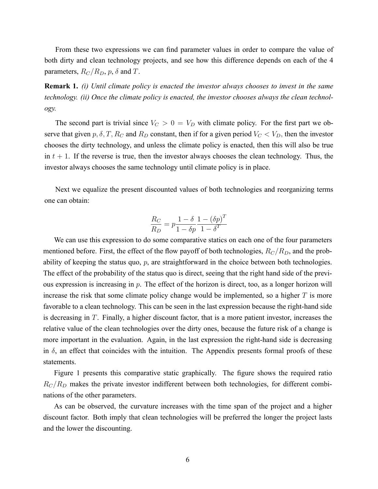From these two expressions we can find parameter values in order to compare the value of both dirty and clean technology projects, and see how this difference depends on each of the 4 parameters,  $R_C/R_D$ ,  $p$ ,  $\delta$  and T.

**Remark 1.** (i) Until climate policy is enacted the investor always chooses to invest in the same technology. (ii) Once the climate policy is enacted, the investor chooses always the clean technology.

The second part is trivial since  $V_C > 0 = V_D$  with climate policy. For the first part we observe that given  $p, \delta, T, R_C$  and  $R_D$  constant, then if for a given period  $V_C < V_D$ , then the investor chooses the dirty technology, and unless the climate policy is enacted, then this will also be true in  $t + 1$ . If the reverse is true, then the investor always chooses the clean technology. Thus, the investor always chooses the same technology until climate policy is in place.

Next we equalize the present discounted values of both technologies and reorganizing terms one can obtain:

$$
\frac{R_C}{R_D} = p \frac{1 - \delta}{1 - \delta p} \frac{1 - (\delta p)^T}{1 - \delta^T}
$$

We can use this expression to do some comparative statics on each one of the four parameters mentioned before. First, the effect of the flow payoff of both technologies,  $R_C/R_D$ , and the probability of keeping the status quo,  $p$ , are straightforward in the choice between both technologies. The effect of the probability of the status quo is direct, seeing that the right hand side of the previous expression is increasing in  $p$ . The effect of the horizon is direct, too, as a longer horizon will increase the risk that some climate policy change would be implemented, so a higher  $T$  is more favorable to a clean technology. This can be seen in the last expression because the right-hand side is decreasing in T. Finally, a higher discount factor, that is a more patient investor, increases the relative value of the clean technologies over the dirty ones, because the future risk of a change is more important in the evaluation. Again, in the last expression the right-hand side is decreasing in  $\delta$ , an effect that coincides with the intuition. The Appendix presents formal proofs of these statements.

Figure 1 presents this comparative static graphically. The figure shows the required ratio  $R_C/R_D$  makes the private investor indifferent between both technologies, for different combinations of the other parameters.

As can be observed, the curvature increases with the time span of the project and a higher discount factor. Both imply that clean technologies will be preferred the longer the project lasts and the lower the discounting.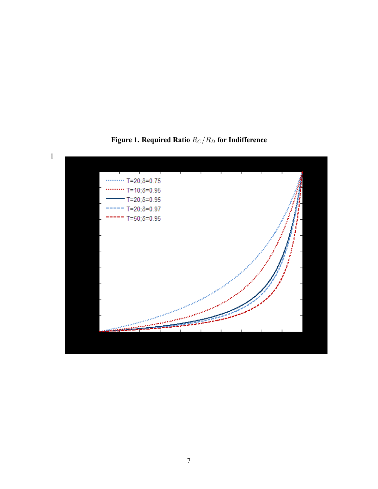

Figure 1. Required Ratio  $R_C/R_D$  for Indifference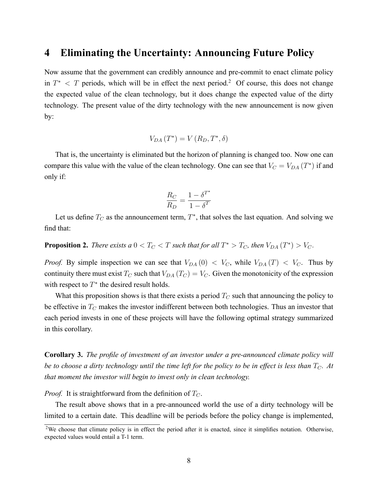#### 4 Eliminating the Uncertainty: Announcing Future Policy

Now assume that the government can credibly announce and pre-commit to enact climate policy in  $T^*$  < T periods, which will be in effect the next period.<sup>2</sup> Of course, this does not change the expected value of the clean technology, but it does change the expected value of the dirty technology. The present value of the dirty technology with the new announcement is now given by:

$$
V_{DA}\left(T^*\right) = V\left(R_D, T^*, \delta\right)
$$

That is, the uncertainty is eliminated but the horizon of planning is changed too. Now one can compare this value with the value of the clean technology. One can see that  $V_C = V_{DA}(T^*)$  if and only if:

$$
\frac{R_C}{R_D} = \frac{1 - \delta^{T^*}}{1 - \delta^T}
$$

Let us define  $T_C$  as the announcement term,  $T^*$ , that solves the last equation. And solving we find that:

**Proposition 2.** There exists a  $0 < T_C < T$  such that for all  $T^* > T_C$ , then  $V_{DA}(T^*) > V_C$ .

*Proof.* By simple inspection we can see that  $V_{DA}(0) < V_C$ , while  $V_{DA}(T) < V_C$ . Thus by continuity there must exist  $T_C$  such that  $V_{DA}(T_C) = V_C$ . Given the monotonicity of the expression with respect to  $T^*$  the desired result holds.

What this proposition shows is that there exists a period  $T_C$  such that announcing the policy to be effective in  $T_C$  makes the investor indifferent between both technologies. Thus an investor that each period invests in one of these projects will have the following optimal strategy summarized in this corollary.

Corollary 3. The profile of investment of an investor under a pre-announced climate policy will be to choose a dirty technology until the time left for the policy to be in effect is less than  $T_C$ . At that moment the investor will begin to invest only in clean technology.

*Proof.* It is straightforward from the definition of  $T_C$ .

The result above shows that in a pre-announced world the use of a dirty technology will be limited to a certain date. This deadline will be periods before the policy change is implemented,

<sup>&</sup>lt;sup>2</sup>We choose that climate policy is in effect the period after it is enacted, since it simplifies notation. Otherwise, expected values would entail a T-1 term.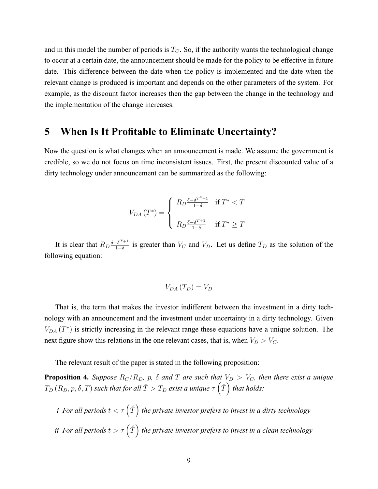and in this model the number of periods is  $T_C$ . So, if the authority wants the technological change to occur at a certain date, the announcement should be made for the policy to be effective in future date. This difference between the date when the policy is implemented and the date when the relevant change is produced is important and depends on the other parameters of the system. For example, as the discount factor increases then the gap between the change in the technology and the implementation of the change increases.

#### 5 When Is It Profitable to Eliminate Uncertainty?

Now the question is what changes when an announcement is made. We assume the government is credible, so we do not focus on time inconsistent issues. First, the present discounted value of a dirty technology under announcement can be summarized as the following:

$$
V_{DA}\left(T^*\right) = \begin{cases} R_D \frac{\delta - \delta^{T^*+1}}{1-\delta} & \text{if } T^* < T \\ \quad R_D \frac{\delta - \delta^{T+1}}{1-\delta} & \text{if } T^* \ge T \end{cases}
$$

It is clear that  $R_D \frac{\delta - \delta^{T+1}}{1 - \delta}$  $\frac{1-\delta^{1}}{1-\delta}$  is greater than  $V_C$  and  $V_D$ . Let us define  $T_D$  as the solution of the following equation:

$$
V_{DA}\left(T_D\right) = V_D
$$

That is, the term that makes the investor indifferent between the investment in a dirty technology with an announcement and the investment under uncertainty in a dirty technology. Given  $V_{DA}(T^*)$  is strictly increasing in the relevant range these equations have a unique solution. The next figure show this relations in the one relevant cases, that is, when  $V_D > V_C$ .

The relevant result of the paper is stated in the following proposition:

**Proposition 4.** Suppose  $R_C/R_D$ , p,  $\delta$  and T are such that  $V_D > V_C$ , then there exist a unique  $T_D$   $(R_D, p, \delta, T)$  such that for all  $\hat{T} > T_D$  exist a unique  $\tau\left(\hat{T}\right)$  that holds:

i For all periods  $t < \tau\left( \hat{T} \right)$  the private investor prefers to invest in a dirty technology ii For all periods  $t > \tau\left( \hat{T} \right)$  the private investor prefers to invest in a clean technology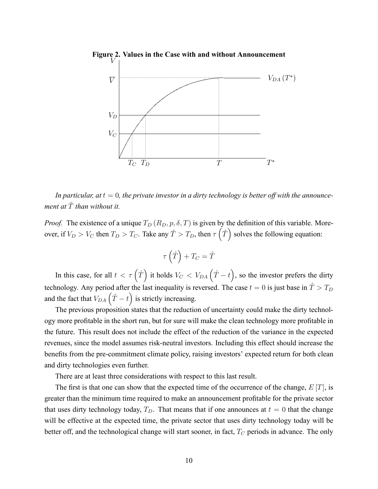

In particular, at  $t = 0$ , the private investor in a dirty technology is better off with the announcement at  $\hat{T}$  than without it.

*Proof.* The existence of a unique  $T_D(R_D, p, \delta, T)$  is given by the definition of this variable. Moreover, if  $V_D > V_C$  then  $T_D > T_C$ . Take any  $\hat{T} > T_D$ , then  $\tau(\hat{T})$  solves the following equation:

$$
\tau\left(\hat{T}\right) + T_C = \hat{T}
$$

In this case, for all  $t < \tau(\hat{T})$  it holds  $V_C < V_{DA}(\hat{T} - t)$ , so the investor prefers the dirty technology. Any period after the last inequality is reversed. The case  $t = 0$  is just base in  $\hat{T} > T_D$ and the fact that  $V_{DA}(\hat{T} - t)$  is strictly increasing.

The previous proposition states that the reduction of uncertainty could make the dirty technology more profitable in the short run, but for sure will make the clean technology more profitable in the future. This result does not include the effect of the reduction of the variance in the expected revenues, since the model assumes risk-neutral investors. Including this effect should increase the benefits from the pre-commitment climate policy, raising investors' expected return for both clean and dirty technologies even further.

There are at least three considerations with respect to this last result.

The first is that one can show that the expected time of the occurrence of the change,  $E[T]$ , is greater than the minimum time required to make an announcement profitable for the private sector that uses dirty technology today,  $T_D$ . That means that if one announces at  $t = 0$  that the change will be effective at the expected time, the private sector that uses dirty technology today will be better off, and the technological change will start sooner, in fact,  $T_C$  periods in advance. The only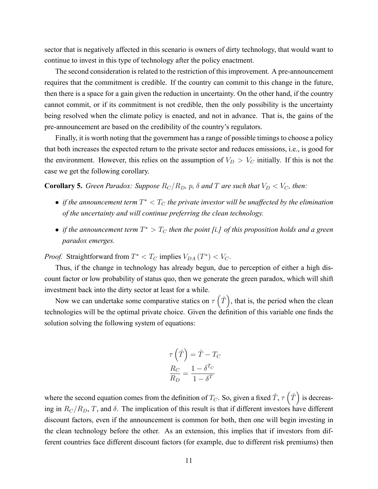sector that is negatively affected in this scenario is owners of dirty technology, that would want to continue to invest in this type of technology after the policy enactment.

The second consideration is related to the restriction of this improvement. A pre-announcement requires that the commitment is credible. If the country can commit to this change in the future, then there is a space for a gain given the reduction in uncertainty. On the other hand, if the country cannot commit, or if its commitment is not credible, then the only possibility is the uncertainty being resolved when the climate policy is enacted, and not in advance. That is, the gains of the pre-announcement are based on the credibility of the country's regulators.

Finally, it is worth noting that the government has a range of possible timings to choose a policy that both increases the expected return to the private sector and reduces emissions, i.e., is good for the environment. However, this relies on the assumption of  $V_D > V_C$  initially. If this is not the case we get the following corollary.

**Corollary 5.** Green Paradox: Suppose  $R_C/R_D$ , p,  $\delta$  and T are such that  $V_D < V_C$ , then:

- if the announcement term  $T^* < T_C$  the private investor will be unaffected by the elimination of the uncertainty and will continue preferring the clean technology.
- if the announcement term  $T^{\ast} > T_C$  then the point [i.] of this proposition holds and a green paradox emerges.

*Proof.* Straightforward from  $T^* < T_C$  implies  $V_{DA}(T^*) < V_C$ .

Thus, if the change in technology has already begun, due to perception of either a high discount factor or low probability of status quo, then we generate the green paradox, which will shift investment back into the dirty sector at least for a while.

Now we can undertake some comparative statics on  $\tau(\hat{T})$ , that is, the period when the clean technologies will be the optimal private choice. Given the definition of this variable one finds the solution solving the following system of equations:

$$
\tau\left(\hat{T}\right) = \hat{T} - T_C
$$

$$
\frac{R_C}{R_D} = \frac{1 - \delta^{T_C}}{1 - \delta^{T}}
$$

where the second equation comes from the definition of  $T_C$ . So, given a fixed  $\hat{T}$ ,  $\tau(\hat{T})$  is decreasing in  $R_{\rm C}/R_{\rm D}$ , T, and  $\delta$ . The implication of this result is that if different investors have different discount factors, even if the announcement is common for both, then one will begin investing in the clean technology before the other. As an extension, this implies that if investors from different countries face different discount factors (for example, due to different risk premiums) then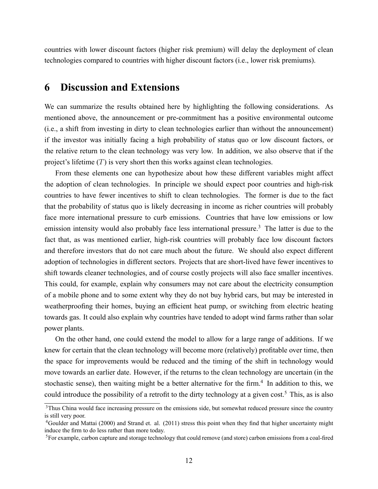countries with lower discount factors (higher risk premium) will delay the deployment of clean technologies compared to countries with higher discount factors (i.e., lower risk premiums).

#### 6 Discussion and Extensions

We can summarize the results obtained here by highlighting the following considerations. As mentioned above, the announcement or pre-commitment has a positive environmental outcome (i.e., a shift from investing in dirty to clean technologies earlier than without the announcement) if the investor was initially facing a high probability of status quo or low discount factors, or the relative return to the clean technology was very low. In addition, we also observe that if the project's lifetime  $(T)$  is very short then this works against clean technologies.

From these elements one can hypothesize about how these different variables might affect the adoption of clean technologies. In principle we should expect poor countries and high-risk countries to have fewer incentives to shift to clean technologies. The former is due to the fact that the probability of status quo is likely decreasing in income as richer countries will probably face more international pressure to curb emissions. Countries that have low emissions or low emission intensity would also probably face less international pressure.<sup>3</sup> The latter is due to the fact that, as was mentioned earlier, high-risk countries will probably face low discount factors and therefore investors that do not care much about the future. We should also expect different adoption of technologies in different sectors. Projects that are short-lived have fewer incentives to shift towards cleaner technologies, and of course costly projects will also face smaller incentives. This could, for example, explain why consumers may not care about the electricity consumption of a mobile phone and to some extent why they do not buy hybrid cars, but may be interested in weatherproofing their homes, buying an efficient heat pump, or switching from electric heating towards gas. It could also explain why countries have tended to adopt wind farms rather than solar power plants.

On the other hand, one could extend the model to allow for a large range of additions. If we knew for certain that the clean technology will become more (relatively) profitable over time, then the space for improvements would be reduced and the timing of the shift in technology would move towards an earlier date. However, if the returns to the clean technology are uncertain (in the stochastic sense), then waiting might be a better alternative for the firm.<sup>4</sup> In addition to this, we could introduce the possibility of a retrofit to the dirty technology at a given cost.<sup>5</sup> This, as is also

<sup>&</sup>lt;sup>3</sup>Thus China would face increasing pressure on the emissions side, but somewhat reduced pressure since the country is still very poor.

<sup>&</sup>lt;sup>4</sup>Goulder and Mattai (2000) and Strand et. al. (2011) stress this point when they find that higher uncertainty might induce the firm to do less rather than more today.

 ${}^{5}$ For example, carbon capture and storage technology that could remove (and store) carbon emissions from a coal-fired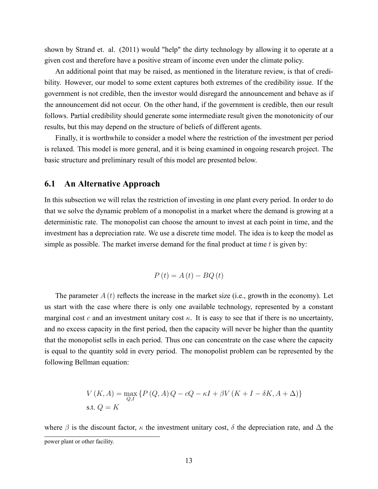shown by Strand et. al. (2011) would "help" the dirty technology by allowing it to operate at a given cost and therefore have a positive stream of income even under the climate policy.

An additional point that may be raised, as mentioned in the literature review, is that of credibility. However, our model to some extent captures both extremes of the credibility issue. If the government is not credible, then the investor would disregard the announcement and behave as if the announcement did not occur. On the other hand, if the government is credible, then our result follows. Partial credibility should generate some intermediate result given the monotonicity of our results, but this may depend on the structure of beliefs of different agents.

Finally, it is worthwhile to consider a model where the restriction of the investment per period is relaxed. This model is more general, and it is being examined in ongoing research project. The basic structure and preliminary result of this model are presented below.

#### 6.1 An Alternative Approach

In this subsection we will relax the restriction of investing in one plant every period. In order to do that we solve the dynamic problem of a monopolist in a market where the demand is growing at a deterministic rate. The monopolist can choose the amount to invest at each point in time, and the investment has a depreciation rate. We use a discrete time model. The idea is to keep the model as simple as possible. The market inverse demand for the final product at time  $t$  is given by:

$$
P\left(t\right) = A\left(t\right) - BQ\left(t\right)
$$

The parameter  $A(t)$  reflects the increase in the market size (i.e., growth in the economy). Let us start with the case where there is only one available technology, represented by a constant marginal cost c and an investment unitary cost  $\kappa$ . It is easy to see that if there is no uncertainty, and no excess capacity in the first period, then the capacity will never be higher than the quantity that the monopolist sells in each period. Thus one can concentrate on the case where the capacity is equal to the quantity sold in every period. The monopolist problem can be represented by the following Bellman equation:

$$
V(K, A) = \max_{Q,I} \{ P(Q, A)Q - cQ - \kappa I + \beta V(K + I - \delta K, A + \Delta) \}
$$
  
s.t.  $Q = K$ 

where  $\beta$  is the discount factor,  $\kappa$  the investment unitary cost,  $\delta$  the depreciation rate, and  $\Delta$  the power plant or other facility.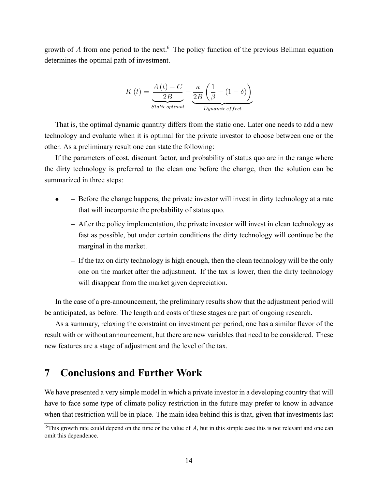growth of A from one period to the next.<sup>6</sup> The policy function of the previous Bellman equation determines the optimal path of investment.

$$
K(t) = \underbrace{\frac{A(t) - C}{2B}}_{Static\ optimal} - \underbrace{\frac{\kappa}{2B} \left(\frac{1}{\beta} - (1 - \delta)\right)}_{Dynamic\ effect}
$$

That is, the optimal dynamic quantity differs from the static one. Later one needs to add a new technology and evaluate when it is optimal for the private investor to choose between one or the other. As a preliminary result one can state the following:

If the parameters of cost, discount factor, and probability of status quo are in the range where the dirty technology is preferred to the clean one before the change, then the solution can be summarized in three steps:

- Before the change happens, the private investor will invest in dirty technology at a rate that will incorporate the probability of status quo.
	- $-$  After the policy implementation, the private investor will invest in clean technology as fast as possible, but under certain conditions the dirty technology will continue be the marginal in the market.
	- $\overline{a}$  If the tax on dirty technology is high enough, then the clean technology will be the only one on the market after the adjustment. If the tax is lower, then the dirty technology will disappear from the market given depreciation.

In the case of a pre-announcement, the preliminary results show that the adjustment period will be anticipated, as before. The length and costs of these stages are part of ongoing research.

As a summary, relaxing the constraint on investment per period, one has a similar flavor of the result with or without announcement, but there are new variables that need to be considered. These new features are a stage of adjustment and the level of the tax.

#### 7 Conclusions and Further Work

We have presented a very simple model in which a private investor in a developing country that will have to face some type of climate policy restriction in the future may prefer to know in advance when that restriction will be in place. The main idea behind this is that, given that investments last

<sup>&</sup>lt;sup>6</sup>This growth rate could depend on the time or the value of  $A$ , but in this simple case this is not relevant and one can omit this dependence.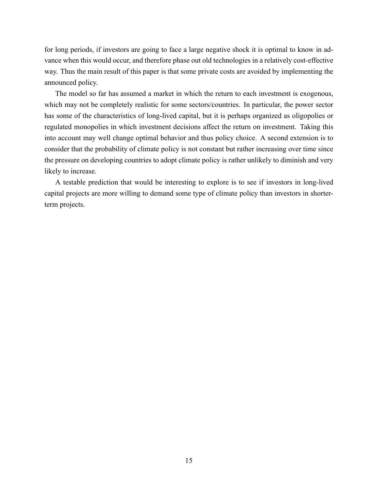for long periods, if investors are going to face a large negative shock it is optimal to know in advance when this would occur, and therefore phase out old technologies in a relatively cost-effective way. Thus the main result of this paper is that some private costs are avoided by implementing the announced policy.

The model so far has assumed a market in which the return to each investment is exogenous, which may not be completely realistic for some sectors/countries. In particular, the power sector has some of the characteristics of long-lived capital, but it is perhaps organized as oligopolies or regulated monopolies in which investment decisions affect the return on investment. Taking this into account may well change optimal behavior and thus policy choice. A second extension is to consider that the probability of climate policy is not constant but rather increasing over time since the pressure on developing countries to adopt climate policy is rather unlikely to diminish and very likely to increase.

A testable prediction that would be interesting to explore is to see if investors in long-lived capital projects are more willing to demand some type of climate policy than investors in shorterterm projects.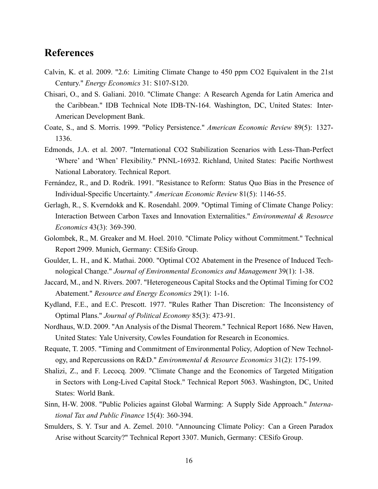#### References

- Calvin, K. et al. 2009. "2.6: Limiting Climate Change to 450 ppm CO2 Equivalent in the 21st Century." Energy Economics 31: S107-S120.
- Chisari, O., and S. Galiani. 2010. "Climate Change: A Research Agenda for Latin America and the Caribbean." IDB Technical Note IDB-TN-164. Washington, DC, United States: Inter-American Development Bank.
- Coate, S., and S. Morris. 1999. "Policy Persistence." American Economic Review 89(5): 1327- 1336.
- Edmonds, J.A. et al. 2007. "International CO2 Stabilization Scenarios with Less-Than-Perfect 'Where' and 'When' Flexibility." PNNL-16932. Richland, United States: Pacific Northwest National Laboratory. Technical Report.
- Fernández, R., and D. Rodrik. 1991. "Resistance to Reform: Status Quo Bias in the Presence of Individual-Specific Uncertainty." American Economic Review 81(5): 1146-55.
- Gerlagh, R., S. Kverndokk and K. Rosendahl. 2009. "Optimal Timing of Climate Change Policy: Interaction Between Carbon Taxes and Innovation Externalities." Environmental & Resource Economics 43(3): 369-390.
- Golombek, R., M. Greaker and M. Hoel. 2010. "Climate Policy without Commitment." Technical Report 2909. Munich, Germany: CESifo Group.
- Goulder, L. H., and K. Mathai. 2000. "Optimal CO2 Abatement in the Presence of Induced Technological Change." Journal of Environmental Economics and Management 39(1): 1-38.
- Jaccard, M., and N. Rivers. 2007. "Heterogeneous Capital Stocks and the Optimal Timing for CO2 Abatement." Resource and Energy Economics 29(1): 1-16.
- Kydland, F.E., and E.C. Prescott. 1977. "Rules Rather Than Discretion: The Inconsistency of Optimal Plans." Journal of Political Economy 85(3): 473-91.
- Nordhaus, W.D. 2009. "An Analysis of the Dismal Theorem." Technical Report 1686. New Haven, United States: Yale University, Cowles Foundation for Research in Economics.
- Requate, T. 2005. "Timing and Commitment of Environmental Policy, Adoption of New Technology, and Repercussions on R&D." *Environmental & Resource Economics*  $31(2)$ : 175-199.
- Shalizi, Z., and F. Lecocq. 2009. "Climate Change and the Economics of Targeted Mitigation in Sectors with Long-Lived Capital Stock." Technical Report 5063. Washington, DC, United States: World Bank.
- Sinn, H-W. 2008. "Public Policies against Global Warming: A Supply Side Approach." International Tax and Public Finance 15(4): 360-394.
- Smulders, S. Y. Tsur and A. Zemel. 2010. "Announcing Climate Policy: Can a Green Paradox Arise without Scarcity?" Technical Report 3307. Munich, Germany: CESifo Group.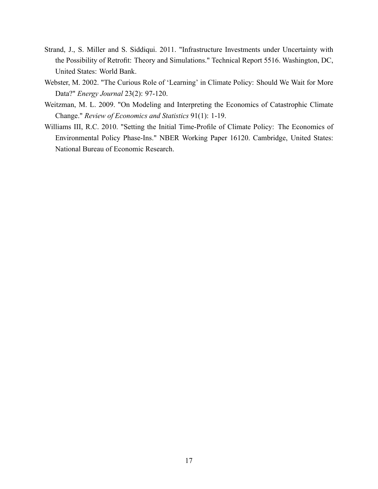- Strand, J., S. Miller and S. Siddiqui. 2011. "Infrastructure Investments under Uncertainty with the Possibility of Retrofit: Theory and Simulations." Technical Report 5516. Washington, DC, United States: World Bank.
- Webster, M. 2002. "The Curious Role of 'Learning' in Climate Policy: Should We Wait for More Data?" Energy Journal 23(2): 97-120.
- Weitzman, M. L. 2009. "On Modeling and Interpreting the Economics of Catastrophic Climate Change." Review of Economics and Statistics 91(1): 1-19.
- Williams III, R.C. 2010. "Setting the Initial Time-Profile of Climate Policy: The Economics of Environmental Policy Phase-Ins." NBER Working Paper 16120. Cambridge, United States: National Bureau of Economic Research.